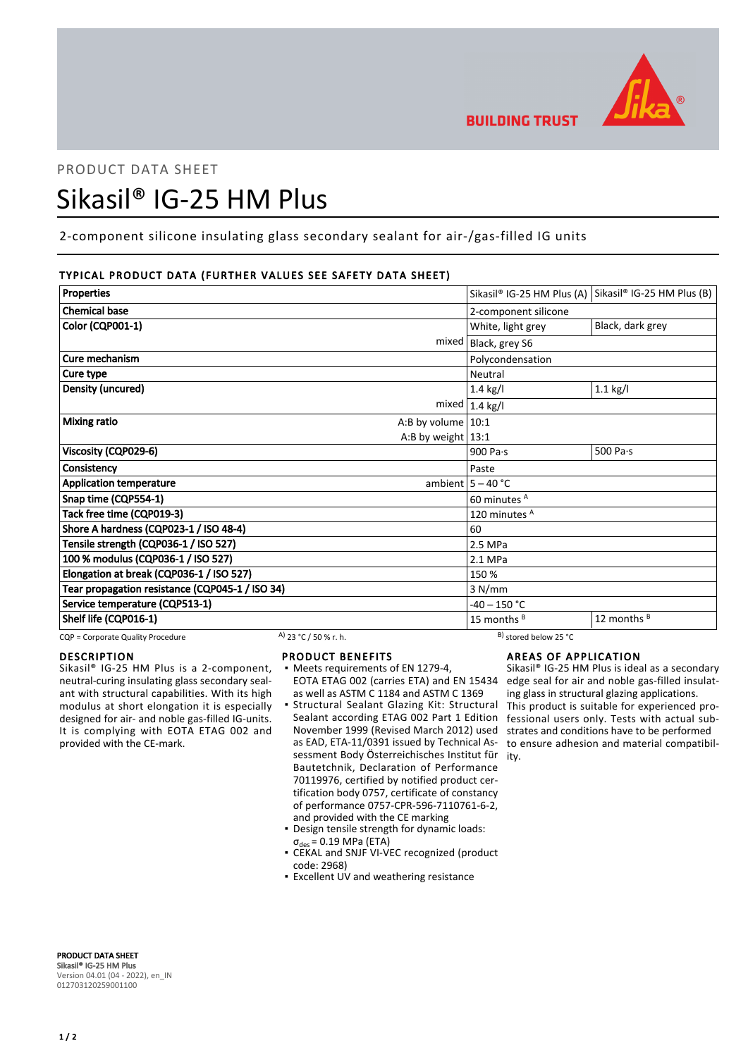

# PRODUCT DATA SHEET Sikasil® IG-25 HM Plus

2-component silicone insulating glass secondary sealant for air-/gas-filled IG units

# TYPICAL PRODUCT DATA (FURTHER VALUES SEE SAFETY DATA SHEET)

| <b>Properties</b>                               |                           | Sikasil® IG-25 HM Plus (A) Sikasil® IG-25 HM Plus (B) |
|-------------------------------------------------|---------------------------|-------------------------------------------------------|
| <b>Chemical base</b>                            | 2-component silicone      |                                                       |
| Color (CQP001-1)                                | White, light grey         | Black, dark grey                                      |
|                                                 | mixed   Black, grey S6    |                                                       |
| Cure mechanism                                  | Polycondensation          |                                                       |
| Cure type                                       | Neutral                   |                                                       |
| <b>Density (uncured)</b>                        | 1.4 kg/l                  | $1.1$ kg/l                                            |
|                                                 | mixed $ 1.4 \text{ kg}/I$ |                                                       |
| <b>Mixing ratio</b><br>A:B by volume $10:1$     |                           |                                                       |
| A:B by weight $13:1$                            |                           |                                                       |
| Viscosity (CQP029-6)                            | 900 Pa $\cdot$ s          | 500 Pa $\cdot$ s                                      |
| Consistency                                     | Paste                     |                                                       |
| <b>Application temperature</b>                  | ambient $5 - 40$ °C       |                                                       |
| Snap time (CQP554-1)                            | 60 minutes A              |                                                       |
| Tack free time (CQP019-3)                       | 120 minutes <sup>A</sup>  |                                                       |
| Shore A hardness (CQP023-1 / ISO 48-4)          | 60                        |                                                       |
| Tensile strength (CQP036-1 / ISO 527)           | 2.5 MPa                   |                                                       |
| 100 % modulus (CQP036-1 / ISO 527)              | 2.1 MPa                   |                                                       |
| Elongation at break (CQP036-1 / ISO 527)        | 150 %                     |                                                       |
| Tear propagation resistance (CQP045-1 / ISO 34) | 3 N/mm                    |                                                       |
| Service temperature (CQP513-1)                  | $-40 - 150$ °C            |                                                       |
| Shelf life (CQP016-1)                           | 15 months <sup>B</sup>    | 12 months <sup>B</sup>                                |

CQP = Corporate Quality Procedure  $\frac{A}{23}$  °C / 50 % r. h.  $\frac{B}{25}$  stored below 25 °C

# DESCRIPTION

Sikasil® IG-25 HM Plus is a 2-component, neutral-curing insulating glass secondary sealant with structural capabilities. With its high modulus at short elongation it is especially designed for air- and noble gas-filled IG-units. It is complying with EOTA ETAG 002 and provided with the CE-mark.

# PRODUCT BENEFITS

- Meets requirements of EN 1279-4, as well as ASTM C 1184 and ASTM C 1369
- Structural Sealant Glazing Kit: Structural Sealant according ETAG 002 Part 1 Edition November 1999 (Revised March 2012) used as EAD, ETA-11/0391 issued by Technical Assessment Body Österreichisches Institut für ity. Bautetchnik, Declaration of Performance 70119976, certified by notified product certification body 0757, certificate of constancy of performance 0757-CPR-596-7110761-6-2, and provided with the CE marking ▪
- Design tensile strength for dynamic loads:  $\sigma_{des}$  = 0.19 MPa (ETA)
- CEKAL and SNJF VI-VEC recognized (product code: 2968)
- **Excellent UV and weathering resistance**

# AREAS OF APPLICATION

EOTA ETAG 002 (carries ETA) and EN 15434 edge seal for air and noble gas-filled insulat-Sikasil® IG-25 HM Plus is ideal as a secondary ing glass in structural glazing applications. This product is suitable for experienced professional users only. Tests with actual substrates and conditions have to be performed to ensure adhesion and material compatibil-

PRODUCT DATA SHEET Sikasil® IG-25 HM Plus Version 04.01 (04 - 2022), en\_IN 012703120259001100